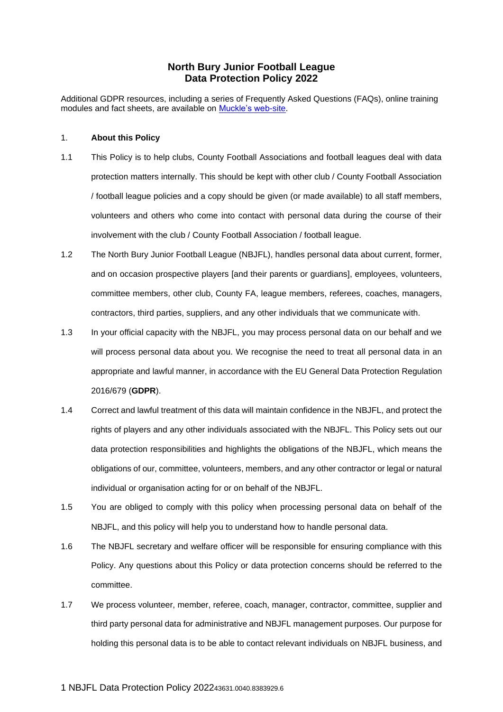# **North Bury Junior Football League Data Protection Policy 2022**

Additional GDPR resources, including a series of Frequently Asked Questions (FAQs), online training modules and fact sheets, are available on [Muckle's web-site.](https://www.muckle-llp.com/what-we-do/sports/the-football-association/gdpr-factsheets/)

### 1. **About this Policy**

- 1.1 This Policy is to help clubs, County Football Associations and football leagues deal with data protection matters internally. This should be kept with other club / County Football Association / football league policies and a copy should be given (or made available) to all staff members, volunteers and others who come into contact with personal data during the course of their involvement with the club / County Football Association / football league.
- 1.2 The North Bury Junior Football League (NBJFL), handles personal data about current, former, and on occasion prospective players [and their parents or guardians], employees, volunteers, committee members, other club, County FA, league members, referees, coaches, managers, contractors, third parties, suppliers, and any other individuals that we communicate with.
- 1.3 In your official capacity with the NBJFL, you may process personal data on our behalf and we will process personal data about you. We recognise the need to treat all personal data in an appropriate and lawful manner, in accordance with the EU General Data Protection Regulation 2016/679 (**GDPR**).
- 1.4 Correct and lawful treatment of this data will maintain confidence in the NBJFL, and protect the rights of players and any other individuals associated with the NBJFL. This Policy sets out our data protection responsibilities and highlights the obligations of the NBJFL, which means the obligations of our, committee, volunteers, members, and any other contractor or legal or natural individual or organisation acting for or on behalf of the NBJFL.
- 1.5 You are obliged to comply with this policy when processing personal data on behalf of the NBJFL, and this policy will help you to understand how to handle personal data.
- 1.6 The NBJFL secretary and welfare officer will be responsible for ensuring compliance with this Policy. Any questions about this Policy or data protection concerns should be referred to the committee.
- 1.7 We process volunteer, member, referee, coach, manager, contractor, committee, supplier and third party personal data for administrative and NBJFL management purposes. Our purpose for holding this personal data is to be able to contact relevant individuals on NBJFL business, and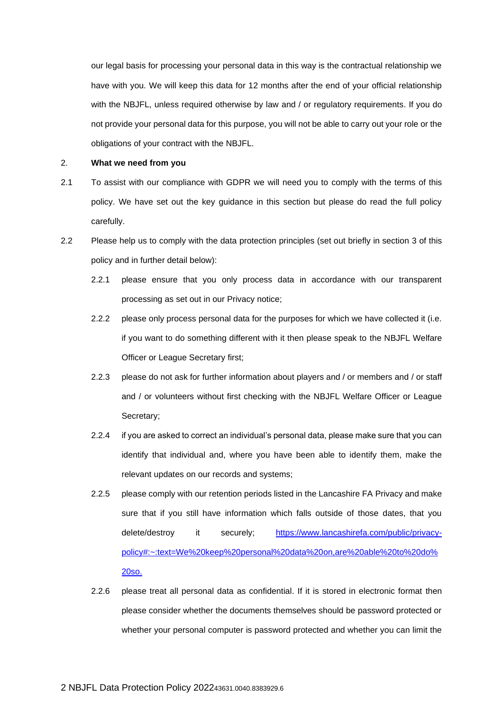our legal basis for processing your personal data in this way is the contractual relationship we have with you. We will keep this data for 12 months after the end of your official relationship with the NBJFL, unless required otherwise by law and / or regulatory requirements. If you do not provide your personal data for this purpose, you will not be able to carry out your role or the obligations of your contract with the NBJFL.

### 2. **What we need from you**

- 2.1 To assist with our compliance with GDPR we will need you to comply with the terms of this policy. We have set out the key guidance in this section but please do read the full policy carefully.
- 2.2 Please help us to comply with the data protection principles (set out briefly in section [3](#page-2-0) of this policy and in further detail below):
	- 2.2.1 please ensure that you only process data in accordance with our transparent processing as set out in our Privacy notice;
	- 2.2.2 please only process personal data for the purposes for which we have collected it (i.e. if you want to do something different with it then please speak to the NBJFL Welfare Officer or League Secretary first;
	- 2.2.3 please do not ask for further information about players and / or members and / or staff and / or volunteers without first checking with the NBJFL Welfare Officer or League Secretary;
	- 2.2.4 if you are asked to correct an individual's personal data, please make sure that you can identify that individual and, where you have been able to identify them, make the relevant updates on our records and systems;
	- 2.2.5 please comply with our retention periods listed in the Lancashire FA Privacy and make sure that if you still have information which falls outside of those dates, that you delete/destroy it securely; [https://www.lancashirefa.com/public/privacy](https://www.lancashirefa.com/public/privacy-policy#:~:text=We%20keep%20personal%20data%20on,are%20able%20to%20do%20so.)[policy#:~:text=We%20keep%20personal%20data%20on,are%20able%20to%20do%](https://www.lancashirefa.com/public/privacy-policy#:~:text=We%20keep%20personal%20data%20on,are%20able%20to%20do%20so.) [20so.](https://www.lancashirefa.com/public/privacy-policy#:~:text=We%20keep%20personal%20data%20on,are%20able%20to%20do%20so.)
	- 2.2.6 please treat all personal data as confidential. If it is stored in electronic format then please consider whether the documents themselves should be password protected or whether your personal computer is password protected and whether you can limit the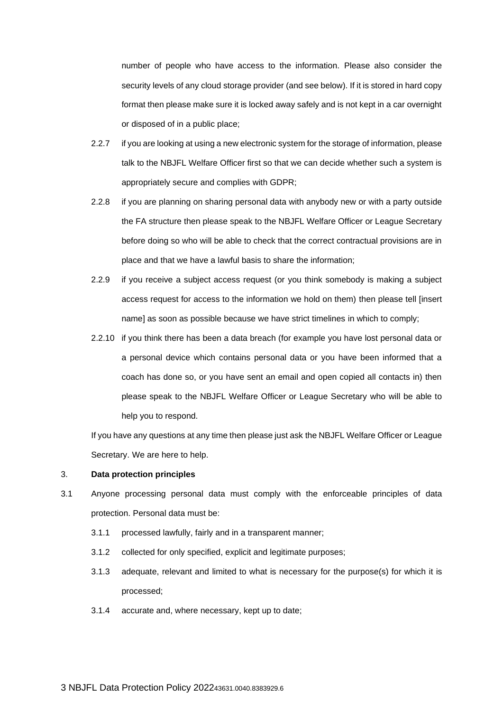number of people who have access to the information. Please also consider the security levels of any cloud storage provider (and see below). If it is stored in hard copy format then please make sure it is locked away safely and is not kept in a car overnight or disposed of in a public place;

- 2.2.7 if you are looking at using a new electronic system for the storage of information, please talk to the NBJFL Welfare Officer first so that we can decide whether such a system is appropriately secure and complies with GDPR;
- 2.2.8 if you are planning on sharing personal data with anybody new or with a party outside the FA structure then please speak to the NBJFL Welfare Officer or League Secretary before doing so who will be able to check that the correct contractual provisions are in place and that we have a lawful basis to share the information;
- 2.2.9 if you receive a subject access request (or you think somebody is making a subject access request for access to the information we hold on them) then please tell [insert name] as soon as possible because we have strict timelines in which to comply;
- 2.2.10 if you think there has been a data breach (for example you have lost personal data or a personal device which contains personal data or you have been informed that a coach has done so, or you have sent an email and open copied all contacts in) then please speak to the NBJFL Welfare Officer or League Secretary who will be able to help you to respond.

If you have any questions at any time then please just ask the NBJFL Welfare Officer or League Secretary. We are here to help.

#### <span id="page-2-0"></span>3. **Data protection principles**

- 3.1 Anyone processing personal data must comply with the enforceable principles of data protection. Personal data must be:
	- 3.1.1 processed lawfully, fairly and in a transparent manner;
	- 3.1.2 collected for only specified, explicit and legitimate purposes;
	- 3.1.3 adequate, relevant and limited to what is necessary for the purpose(s) for which it is processed;
	- 3.1.4 accurate and, where necessary, kept up to date;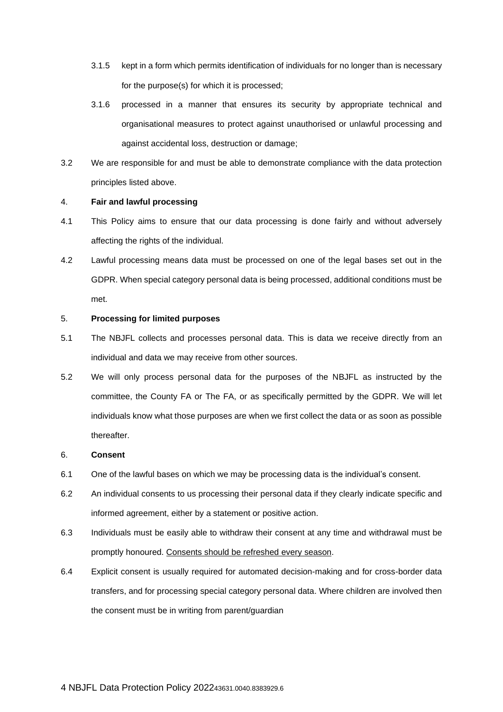- 3.1.5 kept in a form which permits identification of individuals for no longer than is necessary for the purpose(s) for which it is processed;
- 3.1.6 processed in a manner that ensures its security by appropriate technical and organisational measures to protect against unauthorised or unlawful processing and against accidental loss, destruction or damage;
- 3.2 We are responsible for and must be able to demonstrate compliance with the data protection principles listed above.

### 4. **Fair and lawful processing**

- 4.1 This Policy aims to ensure that our data processing is done fairly and without adversely affecting the rights of the individual.
- 4.2 Lawful processing means data must be processed on one of the legal bases set out in the GDPR. When special category personal data is being processed, additional conditions must be met.

## 5. **Processing for limited purposes**

- 5.1 The NBJFL collects and processes personal data. This is data we receive directly from an individual and data we may receive from other sources.
- 5.2 We will only process personal data for the purposes of the NBJFL as instructed by the committee, the County FA or The FA, or as specifically permitted by the GDPR. We will let individuals know what those purposes are when we first collect the data or as soon as possible thereafter.

## 6. **Consent**

- 6.1 One of the lawful bases on which we may be processing data is the individual's consent.
- 6.2 An individual consents to us processing their personal data if they clearly indicate specific and informed agreement, either by a statement or positive action.
- 6.3 Individuals must be easily able to withdraw their consent at any time and withdrawal must be promptly honoured. Consents should be refreshed every season.
- 6.4 Explicit consent is usually required for automated decision-making and for cross-border data transfers, and for processing special category personal data. Where children are involved then the consent must be in writing from parent/guardian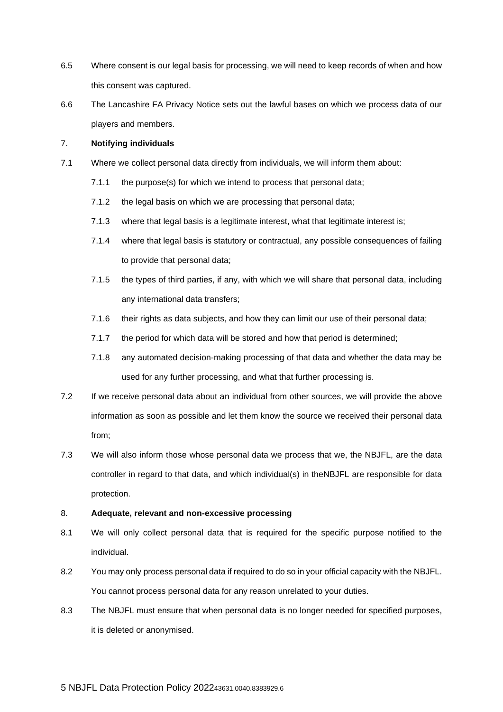- 6.5 Where consent is our legal basis for processing, we will need to keep records of when and how this consent was captured.
- 6.6 The Lancashire FA Privacy Notice sets out the lawful bases on which we process data of our players and members.

## 7. **Notifying individuals**

- 7.1 Where we collect personal data directly from individuals, we will inform them about:
	- 7.1.1 the purpose(s) for which we intend to process that personal data;
	- 7.1.2 the legal basis on which we are processing that personal data;
	- 7.1.3 where that legal basis is a legitimate interest, what that legitimate interest is;
	- 7.1.4 where that legal basis is statutory or contractual, any possible consequences of failing to provide that personal data;
	- 7.1.5 the types of third parties, if any, with which we will share that personal data, including any international data transfers;
	- 7.1.6 their rights as data subjects, and how they can limit our use of their personal data;
	- 7.1.7 the period for which data will be stored and how that period is determined;
	- 7.1.8 any automated decision-making processing of that data and whether the data may be used for any further processing, and what that further processing is.
- 7.2 If we receive personal data about an individual from other sources, we will provide the above information as soon as possible and let them know the source we received their personal data from;
- 7.3 We will also inform those whose personal data we process that we, the NBJFL, are the data controller in regard to that data, and which individual(s) in theNBJFL are responsible for data protection.

## 8. **Adequate, relevant and non-excessive processing**

- 8.1 We will only collect personal data that is required for the specific purpose notified to the individual.
- 8.2 You may only process personal data if required to do so in your official capacity with the NBJFL. You cannot process personal data for any reason unrelated to your duties.
- 8.3 The NBJFL must ensure that when personal data is no longer needed for specified purposes, it is deleted or anonymised.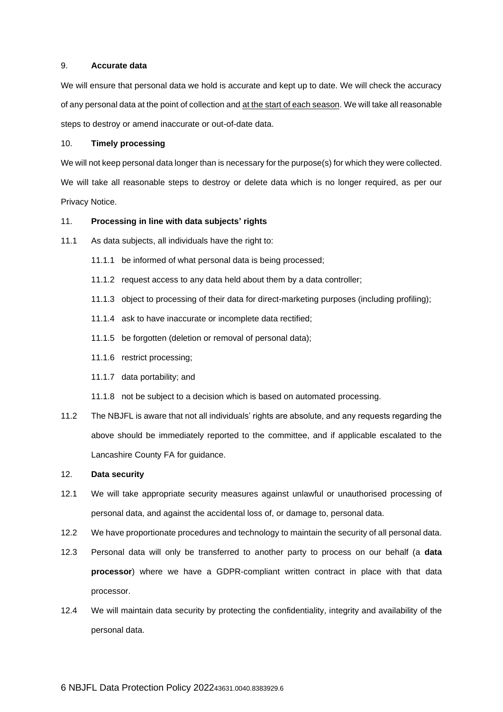### 9. **Accurate data**

We will ensure that personal data we hold is accurate and kept up to date. We will check the accuracy of any personal data at the point of collection and at the start of each season. We will take all reasonable steps to destroy or amend inaccurate or out-of-date data.

# 10. **Timely processing**

We will not keep personal data longer than is necessary for the purpose(s) for which they were collected. We will take all reasonable steps to destroy or delete data which is no longer required, as per our Privacy Notice.

### 11. **Processing in line with data subjects' rights**

- 11.1 As data subjects, all individuals have the right to:
	- 11.1.1 be informed of what personal data is being processed;
	- 11.1.2 request access to any data held about them by a data controller;
	- 11.1.3 object to processing of their data for direct-marketing purposes (including profiling);
	- 11.1.4 ask to have inaccurate or incomplete data rectified;
	- 11.1.5 be forgotten (deletion or removal of personal data);
	- 11.1.6 restrict processing;
	- 11.1.7 data portability; and
	- 11.1.8 not be subject to a decision which is based on automated processing.
- 11.2 The NBJFL is aware that not all individuals' rights are absolute, and any requests regarding the above should be immediately reported to the committee, and if applicable escalated to the Lancashire County FA for guidance.

#### 12. **Data security**

- 12.1 We will take appropriate security measures against unlawful or unauthorised processing of personal data, and against the accidental loss of, or damage to, personal data.
- 12.2 We have proportionate procedures and technology to maintain the security of all personal data.
- 12.3 Personal data will only be transferred to another party to process on our behalf (a **data processor**) where we have a GDPR-compliant written contract in place with that data processor.
- 12.4 We will maintain data security by protecting the confidentiality, integrity and availability of the personal data.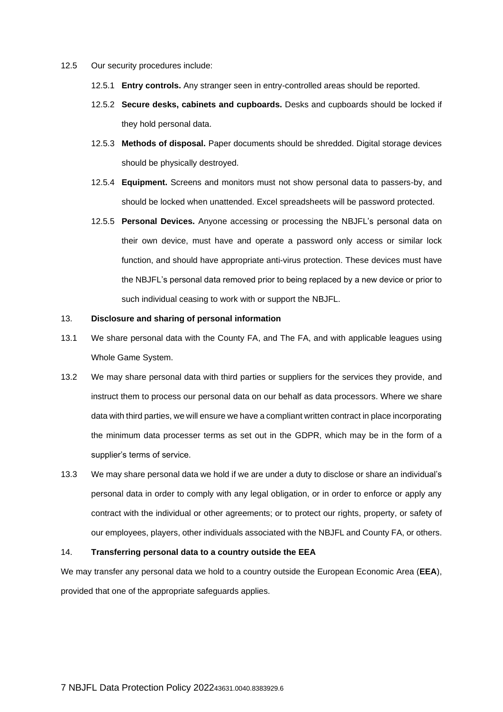- 12.5 Our security procedures include:
	- 12.5.1 **Entry controls.** Any stranger seen in entry-controlled areas should be reported.
	- 12.5.2 **Secure desks, cabinets and cupboards.** Desks and cupboards should be locked if they hold personal data.
	- 12.5.3 **Methods of disposal.** Paper documents should be shredded. Digital storage devices should be physically destroyed.
	- 12.5.4 **Equipment.** Screens and monitors must not show personal data to passers-by, and should be locked when unattended. Excel spreadsheets will be password protected.
	- 12.5.5 **Personal Devices.** Anyone accessing or processing the NBJFL's personal data on their own device, must have and operate a password only access or similar lock function, and should have appropriate anti-virus protection. These devices must have the NBJFL's personal data removed prior to being replaced by a new device or prior to such individual ceasing to work with or support the NBJFL.

## 13. **Disclosure and sharing of personal information**

- 13.1 We share personal data with the County FA, and The FA, and with applicable leagues using Whole Game System.
- 13.2 We may share personal data with third parties or suppliers for the services they provide, and instruct them to process our personal data on our behalf as data processors. Where we share data with third parties, we will ensure we have a compliant written contract in place incorporating the minimum data processer terms as set out in the GDPR, which may be in the form of a supplier's terms of service.
- 13.3 We may share personal data we hold if we are under a duty to disclose or share an individual's personal data in order to comply with any legal obligation, or in order to enforce or apply any contract with the individual or other agreements; or to protect our rights, property, or safety of our employees, players, other individuals associated with the NBJFL and County FA, or others.

## 14. **Transferring personal data to a country outside the EEA**

We may transfer any personal data we hold to a country outside the European Economic Area (**EEA**), provided that one of the appropriate safeguards applies.